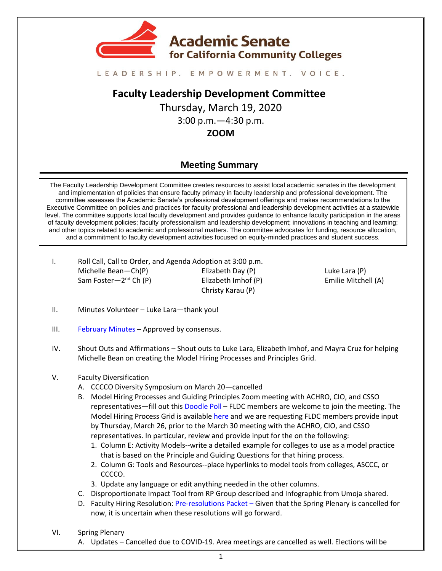

#### LEADERSHIP. EMPOWERMENT. VOICE.

# **Faculty Leadership Development Committee**

Thursday, March 19, 2020 3:00 p.m.—4:30 p.m. **ZOOM**

# **Meeting Summary**

The Faculty Leadership Development Committee creates resources to assist local academic senates in the development and implementation of policies that ensure faculty primacy in faculty leadership and professional development. The committee assesses the Academic Senate's professional development offerings and makes recommendations to the Executive Committee on policies and practices for faculty professional and leadership development activities at a statewide level. The committee supports local faculty development and provides guidance to enhance faculty participation in the areas of faculty development policies; faculty professionalism and leadership development; innovations in teaching and learning; and other topics related to academic and professional matters. The committee advocates for funding, resource allocation, and a commitment to faculty development activities focused on equity-minded practices and student success.

I. Roll Call, Call to Order, and Agenda Adoption at 3:00 p.m. Michelle Bean—Ch(P) Sam Foster—2<sup>nd</sup> Ch (P) Elizabeth Day (P) Elizabeth Imhof (P) Christy Karau (P)

Luke Lara (P) Emilie Mitchell (A)

- II. Minutes Volunteer Luke Lara—thank you!
- III. [February Minutes](https://drive.google.com/file/d/1m7ERjfHSSzgMopvdRQxJg0dBfV0_vL8_/view?usp=sharing) Approved by consensus.
- IV. Shout Outs and Affirmations Shout outs to Luke Lara, Elizabeth Imhof, and Mayra Cruz for helping Michelle Bean on creating the Model Hiring Processes and Principles Grid.

#### V. Faculty Diversification

- A. CCCCO Diversity Symposium on March 20—cancelled
- B. Model Hiring Processes and Guiding Principles Zoom meeting with ACHRO, CIO, and CSSO representatives—fill out this [Doodle Poll](https://doodle.com/poll/7ummhsbv6yui8gvq) – FLDC members are welcome to join the meeting. The Model Hiring Process Grid is available [here](https://urldefense.proofpoint.com/v2/url?u=https-3A__docs.google.com_spreadsheets_d_18WlrZFr8r-2DCgYwVMCoEsObPVzO3-5FV63Id6KYonNsEko_edit-3Fusp-3Dsharing&d=DwMFAw&c=bxXB6XgK3xQjNA1pniRjug&r=Id65OUaNOaR2QIlB7giEzxu3oyq0VRnSw0nzrf6P4S4&m=RZtVAjyW07Qgzz5aDzaVaGj8vVszYH9OrZuL4P08n4Q&s=S2PCntMcL1hgkLWUlmMjF9cLSZTs0gumdOPnc1JaPuw&e=) and we are requesting FLDC members provide input by Thursday, March 26, prior to the March 30 meeting with the ACHRO, CIO, and CSSO representatives. In particular, review and provide input for the on the following:
	- 1. Column E: Activity Models--write a detailed example for colleges to use as a model practice that is based on the Principle and Guiding Questions for that hiring process.
	- 2. Column G: Tools and Resources--place hyperlinks to model tools from colleges, ASCCC, or CCCCO.
	- 3. Update any language or edit anything needed in the other columns.
- C. Disproportionate Impact Tool from RP Group described and Infographic from Umoja shared.
- D. Faculty Hiring Resolution[: Pre-resolutions Packet](https://drive.google.com/file/d/13r7aSXqQFPWL5eWqCJbahZG30_7yIbWl/view?usp=sharing) Given that the Spring Plenary is cancelled for now, it is uncertain when these resolutions will go forward.
- VI. Spring Plenary
	- A. Updates Cancelled due to COVID-19. Area meetings are cancelled as well. Elections will be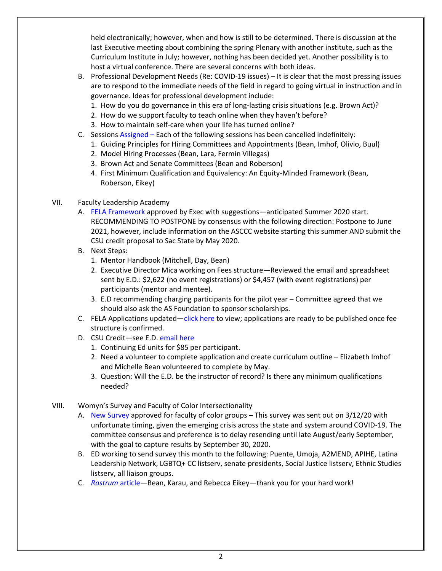held electronically; however, when and how is still to be determined. There is discussion at the last Executive meeting about combining the spring Plenary with another institute, such as the Curriculum Institute in July; however, nothing has been decided yet. Another possibility is to host a virtual conference. There are several concerns with both ideas.

- B. Professional Development Needs (Re: COVID-19 issues) It is clear that the most pressing issues are to respond to the immediate needs of the field in regard to going virtual in instruction and in governance. Ideas for professional development include:
	- 1. How do you do governance in this era of long-lasting crisis situations (e.g. Brown Act)?
	- 2. How do we support faculty to teach online when they haven't before?
	- 3. How to maintain self-care when your life has turned online?
- C. Sessions [Assigned](https://asccc.org/sites/default/files/IV.%20F.%20%281%29%20Spring%20Session%202020%20Draft%20Outline%20-%20for%20Jan%2010%20Exec%20Meeting.pdf) Each of the following sessions has been cancelled indefinitely:
	- 1. Guiding Principles for Hiring Committees and Appointments (Bean, Imhof, Olivio, Buul)
	- 2. Model Hiring Processes (Bean, Lara, Fermin Villegas)
	- 3. Brown Act and Senate Committees (Bean and Roberson)
	- 4. First Minimum Qualification and Equivalency: An Equity-Minded Framework (Bean, Roberson, Eikey)

## VII. Faculty Leadership Academy

- A. [FELA Framework](https://docs.google.com/document/d/1ipbm951TI4L5GoqSw3npHGM_JFxK-ZEP9EcCBevPm5I/edit?usp=sharing) approved by Exec with suggestions—anticipated Summer 2020 start. RECOMMENDING TO POSTPONE by consensus with the following direction: Postpone to June 2021, however, include information on the ASCCC website starting this summer AND submit the CSU credit proposal to Sac State by May 2020.
- B. Next Steps:
	- 1. Mentor Handbook (Mitchell, Day, Bean)
	- 2. Executive Director Mica working on Fees structure—Reviewed the email and spreadsheet sent by E.D.: \$2,622 (no event registrations) or \$4,457 (with event registrations) per participants (mentor and mentee).
	- 3. E.D recommending charging participants for the pilot year Committee agreed that we should also ask the AS Foundation to sponsor scholarships.
- C. FELA Applications updated—[click here](https://drive.google.com/file/d/1wM8Vqsbei1UI0elQTvsAWcbqXwQt8mfK/view?usp=sharing) to view; applications are ready to be published once fee structure is confirmed.
- D. CSU Credit—see E.D. [email here](https://drive.google.com/file/d/1jWxb5psPrXzbQO3tfoQp62a4munthQG5/view?usp=sharing)
	- 1. Continuing Ed units for \$85 per participant.
	- 2. Need a volunteer to complete application and create curriculum outline Elizabeth Imhof and Michelle Bean volunteered to complete by May.
	- 3. Question: Will the E.D. be the instructor of record? Is there any minimum qualifications needed?
- VIII. Womyn's Survey and Faculty of Color Intersectionality
	- A. [New Survey](https://drive.google.com/file/d/11lJTtmBoWIZQcX2YcnKOZPYA0kwy5stJ/view?usp=sharing) approved for faculty of color groups This survey was sent out on 3/12/20 with unfortunate timing, given the emerging crisis across the state and system around COVID-19. The committee consensus and preference is to delay resending until late August/early September, with the goal to capture results by September 30, 2020.
	- B. ED working to send survey this month to the following: Puente, Umoja, A2MEND, APIHE, Latina Leadership Network, LGBTQ+ CC listserv, senate presidents, Social Justice listserv, Ethnic Studies listserv, all liaison groups.
	- C. *[Rostrum](https://docs.google.com/document/d/1n6yNAwk8Yd7u8zbXivrvec0ergNUjUXJ2qFopxkB7r4/edit?usp=sharing)* article—Bean, Karau, and Rebecca Eikey—thank you for your hard work!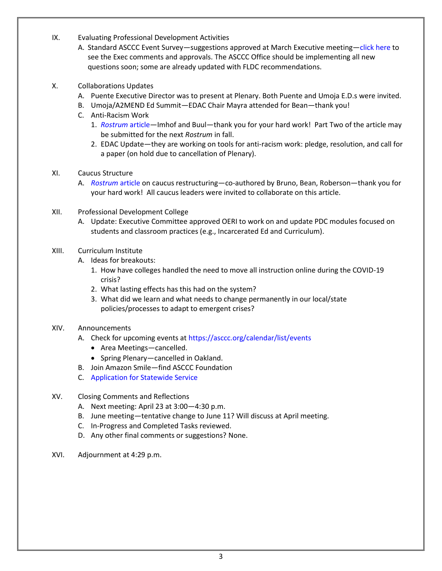- IX. Evaluating Professional Development Activities
	- A. Standard ASCCC Event Survey—suggestions approved at March Executive meeting—[click here](https://drive.google.com/file/d/1A-JMVzJil6LexfGaO4AogSf9vlZgxQYT/view?usp=sharing) to see the Exec comments and approvals. The ASCCC Office should be implementing all new questions soon; some are already updated with FLDC recommendations.
- X. Collaborations Updates
	- A. Puente Executive Director was to present at Plenary. Both Puente and Umoja E.D.s were invited.
	- B. Umoja/A2MEND Ed Summit—EDAC Chair Mayra attended for Bean—thank you!
	- C. Anti-Racism Work
		- 1. *[Rostrum](https://docs.google.com/document/d/1u6EbWB5HlPFjI4RSGF9LH9hP3NHHPKOyJyvelj5cQc0/edit?usp=sharing)* article—Imhof and Buul—thank you for your hard work! Part Two of the article may be submitted for the next *Rostrum* in fall.
		- 2. EDAC Update—they are working on tools for anti-racism work: pledge, resolution, and call for a paper (on hold due to cancellation of Plenary).
- XI. Caucus Structure
	- A. *[Rostrum](https://docs.google.com/document/d/177u97zpDu0aAcXjBxQLaS1zvw5ATwX_JPZ9vmMyTs_Y/edit?usp=sharing)* article on caucus restructuring—co-authored by Bruno, Bean, Roberson—thank you for your hard work! All caucus leaders were invited to collaborate on this article.
- XII. Professional Development College
	- A. Update: Executive Committee approved OERI to work on and update PDC modules focused on students and classroom practices (e.g., Incarcerated Ed and Curriculum).
- XIII. Curriculum Institute
	- A. Ideas for breakouts:
		- 1. How have colleges handled the need to move all instruction online during the COVID-19 crisis?
		- 2. What lasting effects has this had on the system?
		- 3. What did we learn and what needs to change permanently in our local/state policies/processes to adapt to emergent crises?
- XIV. Announcements
	- A. Check for upcoming events at<https://asccc.org/calendar/list/events>
		- Area Meetings—cancelled.
		- Spring Plenary—cancelled in Oakland.
	- B. Join Amazon Smile—find ASCCC Foundation
	- C. [Application for Statewide Service](http://asccc.org/content/application-statewide-service)
- XV. Closing Comments and Reflections
	- A. Next meeting: April 23 at 3:00—4:30 p.m.
	- B. June meeting—tentative change to June 11? Will discuss at April meeting.
	- C. In-Progress and Completed Tasks reviewed.
	- D. Any other final comments or suggestions? None.
- XVI. Adjournment at 4:29 p.m.